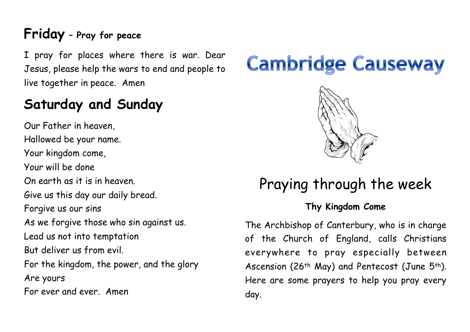# **Friday – Pray for peace**

I pray for places where there is war. Dear Jesus, please help the wars to end and people to live together in peace. Amen

# **Saturday and Sunday**

Our Father in heaven, Hallowed be your name. Your kingdom come, Your will be done On earth as it is in heaven. Give us this day our daily bread. Forgive us our sins As we forgive those who sin against us. Lead us not into temptation But deliver us from evil. For the kingdom, the power, and the glory Are yours For ever and ever. Amen

# **Cambridge Causeway**



# Praying through the week

#### **Thy Kingdom Come**

The Archbishop of Canterbury, who is in charge of the Church of England, calls Christians everywhere to pray especially between Ascension (26<sup>th</sup> May) and Pentecost (June 5<sup>th</sup>). Here are some prayers to help you pray every day.